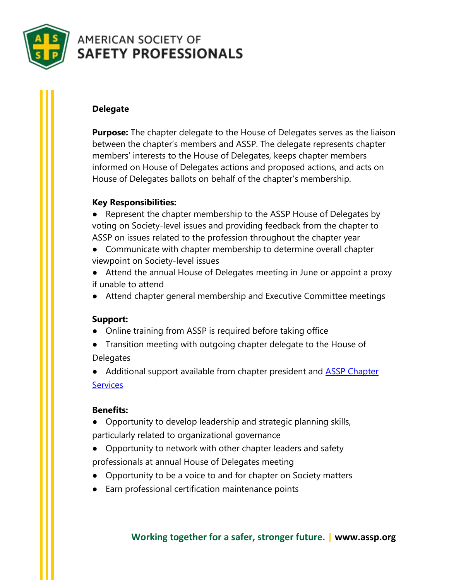

# **AMERICAN SOCIETY OF SAFETY PROFESSIONALS**

## **Delegate**

**Purpose:** The chapter delegate to the House of Delegates serves as the liaison between the chapter's members and ASSP. The delegate represents chapter members' interests to the House of Delegates, keeps chapter members informed on House of Delegates actions and proposed actions, and acts on House of Delegates ballots on behalf of the chapter's membership.

## **Key Responsibilities:**

● Represent the chapter membership to the ASSP House of Delegates by voting on Society-level issues and providing feedback from the chapter to ASSP on issues related to the profession throughout the chapter year

- Communicate with chapter membership to determine overall chapter viewpoint on Society-level issues
- Attend the annual House of Delegates meeting in June or appoint a proxy if unable to attend
- Attend chapter general membership and Executive Committee meetings

## **Support:**

- Online training from ASSP is required before taking office
- Transition meeting with outgoing chapter delegate to the House of **Delegates**
- Additional support available from chapter president and **ASSP Chapter [Services](mailto:chapterservices@assp.org)**

## **Benefits:**

- Opportunity to develop leadership and strategic planning skills, particularly related to organizational governance
- Opportunity to network with other chapter leaders and safety professionals at annual House of Delegates meeting
- Opportunity to be a voice to and for chapter on Society matters
- Earn professional certification maintenance points